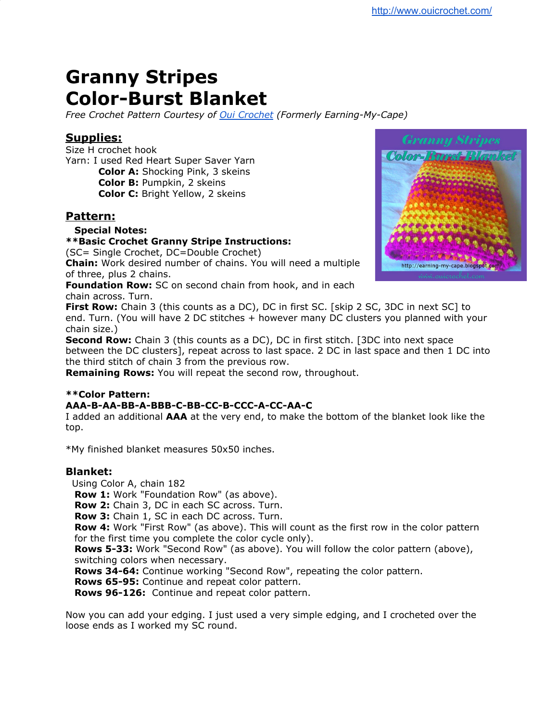# **Granny Stripes Color-Burst Blanket**

*Free Crochet Pattern Courtesy of Oui [Crochet](http://www.ouicrochet.com/) (Formerly Earning-My-Cape)*

## **Supplies:**

Size H crochet hook Yarn: I used Red Heart Super Saver Yarn **Color A:** Shocking Pink, 3 skeins **Color B:** Pumpkin, 2 skeins **Color C:** Bright Yellow, 2 skeins

## **Pattern:**

## **Special Notes:**

## **\*\*Basic Crochet Granny Stripe Instructions:**

(SC= Single Crochet, DC=Double Crochet)

**Chain:** Work desired number of chains. You will need a multiple of three, plus 2 chains.

**Foundation Row:** SC on second chain from hook, and in each chain across. Turn.

**First Row:** Chain 3 (this counts as a DC), DC in first SC. [skip 2 SC, 3DC in next SC] to end. Turn. (You will have 2 DC stitches + however many DC clusters you planned with your chain size.)

**Second Row:** Chain 3 (this counts as a DC), DC in first stitch. [3DC into next space between the DC clusters], repeat across to last space. 2 DC in last space and then 1 DC into the third stitch of chain 3 from the previous row.

**Remaining Rows:** You will repeat the second row, throughout.

## **\*\*Color Pattern:**

## **AAA-B-AA-BB-A-BBB-C-BB-CC-B-CCC-A-CC-AA-C**

I added an additional **AAA** at the very end, to make the bottom of the blanket look like the top.

\*My finished blanket measures 50x50 inches.

## **Blanket:**

Using Color A, chain 182

**Row 1:** Work "Foundation Row" (as above).

**Row 2:** Chain 3, DC in each SC across. Turn.

**Row 3:** Chain 1, SC in each DC across. Turn.

**Row 4:** Work "First Row" (as above). This will count as the first row in the color pattern for the first time you complete the color cycle only).

**Rows 5-33:** Work "Second Row" (as above). You will follow the color pattern (above), switching colors when necessary.

**Rows 34-64:** Continue working "Second Row", repeating the color pattern.

**Rows 65-95:** Continue and repeat color pattern.

**Rows 96-126:** Continue and repeat color pattern.

Now you can add your edging. I just used a very simple edging, and I crocheted over the loose ends as I worked my SC round.